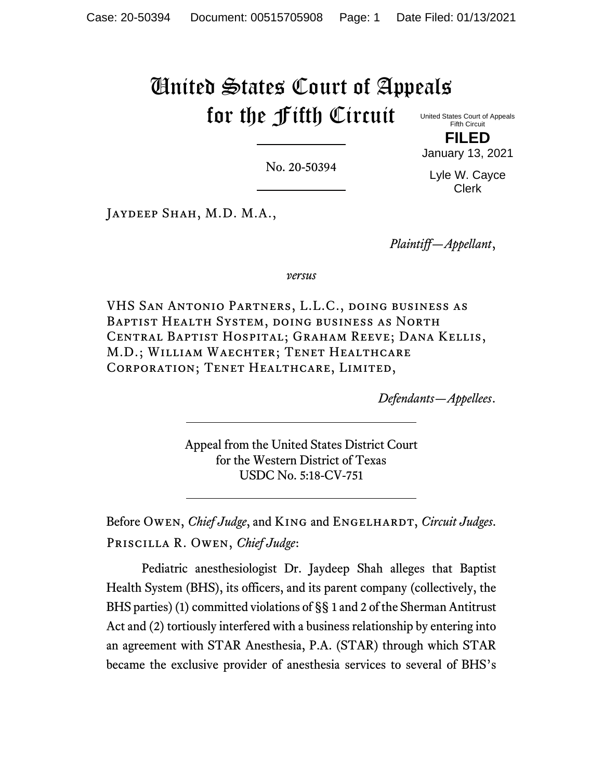# United States Court of Appeals for the Fifth Circuit

United States Court of Appeals Fifth Circuit **FILED**

No. 20-50394

Lyle W. Cayce Clerk

January 13, 2021

Jaydeep Shah, M.D. M.A.,

*Plaintiff—Appellant*,

*versus*

VHS San Antonio Partners, L.L.C., doing business as Baptist Health System, doing business as North Central Baptist Hospital; Graham Reeve; Dana Kellis, M.D.; William Waechter; Tenet Healthcare Corporation; Tenet Healthcare, Limited,

*Defendants—Appellees*.

Appeal from the United States District Court for the Western District of Texas USDC No. 5:18-CV-751

Before Owen, *Chief Judge*, and KING and ENGELHARDT, *Circuit Judges*. Priscilla R. Owen, *Chief Judge*:

Pediatric anesthesiologist Dr. Jaydeep Shah alleges that Baptist Health System (BHS), its officers, and its parent company (collectively, the BHS parties) (1) committed violations of §§ 1 and 2 of the Sherman Antitrust Act and (2) tortiously interfered with a business relationship by entering into an agreement with STAR Anesthesia, P.A. (STAR) through which STAR became the exclusive provider of anesthesia services to several of BHS's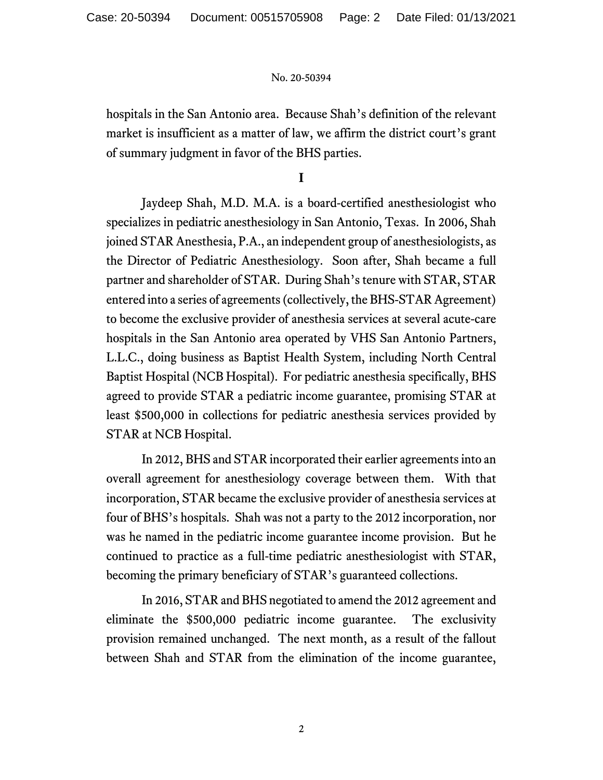hospitals in the San Antonio area. Because Shah's definition of the relevant market is insufficient as a matter of law, we affirm the district court's grant of summary judgment in favor of the BHS parties.

**I**

Jaydeep Shah, M.D. M.A. is a board-certified anesthesiologist who specializes in pediatric anesthesiology in San Antonio, Texas. In 2006, Shah joined STAR Anesthesia, P.A., an independent group of anesthesiologists, as the Director of Pediatric Anesthesiology. Soon after, Shah became a full partner and shareholder of STAR. During Shah's tenure with STAR, STAR entered into a series of agreements (collectively, the BHS-STAR Agreement) to become the exclusive provider of anesthesia services at several acute-care hospitals in the San Antonio area operated by VHS San Antonio Partners, L.L.C., doing business as Baptist Health System, including North Central Baptist Hospital (NCB Hospital). For pediatric anesthesia specifically, BHS agreed to provide STAR a pediatric income guarantee, promising STAR at least \$500,000 in collections for pediatric anesthesia services provided by STAR at NCB Hospital.

In 2012, BHS and STAR incorporated their earlier agreements into an overall agreement for anesthesiology coverage between them. With that incorporation, STAR became the exclusive provider of anesthesia services at four of BHS's hospitals. Shah was not a party to the 2012 incorporation, nor was he named in the pediatric income guarantee income provision. But he continued to practice as a full-time pediatric anesthesiologist with STAR, becoming the primary beneficiary of STAR's guaranteed collections.

In 2016, STAR and BHS negotiated to amend the 2012 agreement and eliminate the \$500,000 pediatric income guarantee. The exclusivity provision remained unchanged. The next month, as a result of the fallout between Shah and STAR from the elimination of the income guarantee,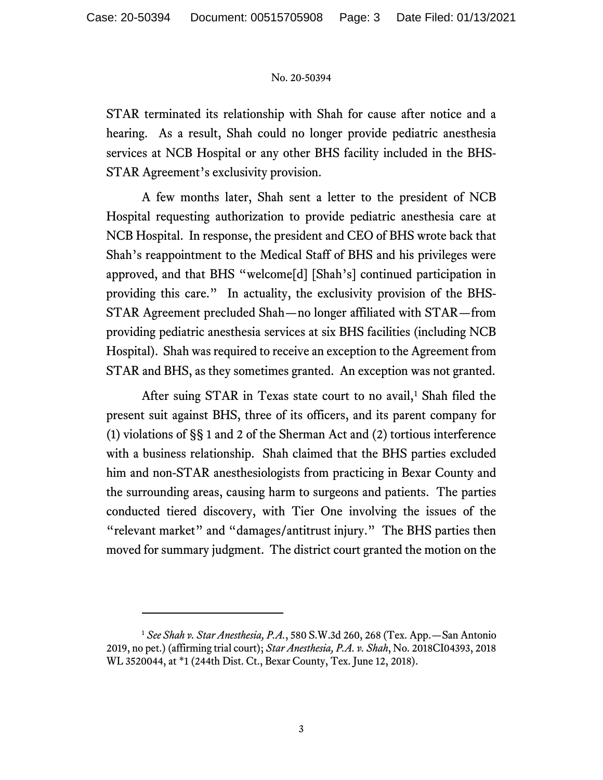STAR terminated its relationship with Shah for cause after notice and a hearing. As a result, Shah could no longer provide pediatric anesthesia services at NCB Hospital or any other BHS facility included in the BHS-STAR Agreement's exclusivity provision.

A few months later, Shah sent a letter to the president of NCB Hospital requesting authorization to provide pediatric anesthesia care at NCB Hospital. In response, the president and CEO of BHS wrote back that Shah's reappointment to the Medical Staff of BHS and his privileges were approved, and that BHS "welcome[d] [Shah's] continued participation in providing this care." In actuality, the exclusivity provision of the BHS-STAR Agreement precluded Shah—no longer affiliated with STAR—from providing pediatric anesthesia services at six BHS facilities (including NCB Hospital). Shah was required to receive an exception to the Agreement from STAR and BHS, as they sometimes granted. An exception was not granted.

After suing STAR in Texas state court to no avail,<sup>[1](#page-2-0)</sup> Shah filed the present suit against BHS, three of its officers, and its parent company for (1) violations of §§ 1 and 2 of the Sherman Act and (2) tortious interference with a business relationship. Shah claimed that the BHS parties excluded him and non-STAR anesthesiologists from practicing in Bexar County and the surrounding areas, causing harm to surgeons and patients. The parties conducted tiered discovery, with Tier One involving the issues of the "relevant market" and "damages/antitrust injury." The BHS parties then moved for summary judgment. The district court granted the motion on the

<span id="page-2-0"></span><sup>1</sup> *See Shah v. Star Anesthesia, P.A.*, 580 S.W.3d 260, 268 (Tex. App.—San Antonio 2019, no pet.) (affirming trial court); *Star Anesthesia, P.A. v. Shah*, No. 2018CI04393, 2018 WL 3520044, at \*1 (244th Dist. Ct., Bexar County, Tex. June 12, 2018).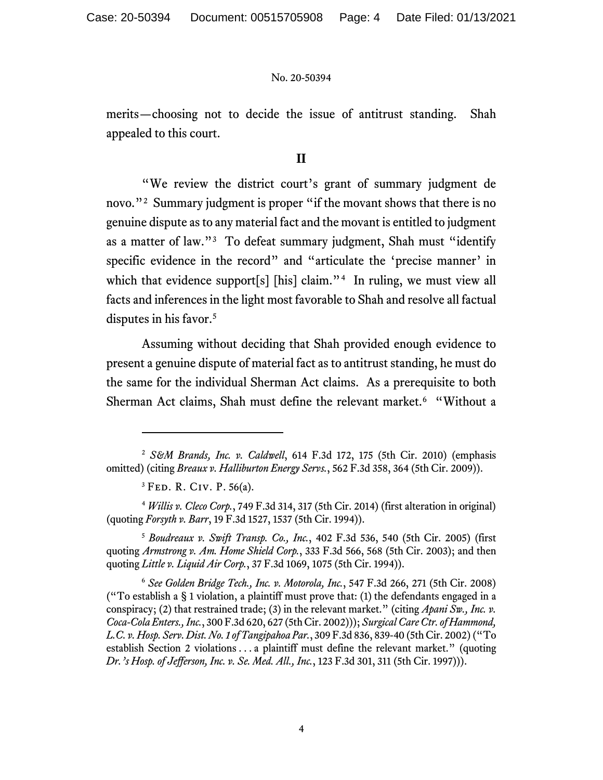merits—choosing not to decide the issue of antitrust standing. Shah appealed to this court.

## **II**

"We review the district court's grant of summary judgment de novo."<sup>[2](#page-3-0)</sup> Summary judgment is proper "if the movant shows that there is no genuine dispute as to any material fact and the movant is entitled to judgment as a matter of law."<sup>[3](#page-3-1)</sup> To defeat summary judgment, Shah must "identify specific evidence in the record" and "articulate the 'precise manner' in which that evidence support[s] [his] claim."<sup>4</sup> In ruling, we must view all facts and inferences in the light most favorable to Shah and resolve all factual disputes in his favor.<sup>[5](#page-3-3)</sup>

Assuming without deciding that Shah provided enough evidence to present a genuine dispute of material fact as to antitrust standing, he must do the same for the individual Sherman Act claims. As a prerequisite to both Sherman Act claims, Shah must define the relevant market.<sup>[6](#page-3-4)</sup> "Without a

<span id="page-3-3"></span><sup>5</sup> *Boudreaux v. Swift Transp. Co., Inc.*, 402 F.3d 536, 540 (5th Cir. 2005) (first quoting *Armstrong v. Am. Home Shield Corp.*, 333 F.3d 566, 568 (5th Cir. 2003); and then quoting *Little v. Liquid Air Corp.*, 37 F.3d 1069, 1075 (5th Cir. 1994)).

<span id="page-3-4"></span><sup>6</sup> *See Golden Bridge Tech., Inc. v. Motorola, Inc.*, 547 F.3d 266, 271 (5th Cir. 2008) ("To establish a § 1 violation, a plaintiff must prove that: (1) the defendants engaged in a conspiracy; (2) that restrained trade; (3) in the relevant market." (citing *Apani Sw., Inc. v. Coca-Cola Enters., Inc.*, 300 F.3d 620, 627 (5th Cir. 2002))); *Surgical Care Ctr. of Hammond, L.C. v. Hosp. Serv. Dist. No. 1 of Tangipahoa Par.*, 309 F.3d 836, 839-40 (5th Cir. 2002) ("To establish Section 2 violations . . . a plaintiff must define the relevant market." (quoting *Dr.'s Hosp. of Jefferson, Inc. v. Se. Med. All., Inc.*, 123 F.3d 301, 311 (5th Cir. 1997))).

<span id="page-3-0"></span><sup>2</sup> *S&M Brands, Inc. v. Caldwell*, 614 F.3d 172, 175 (5th Cir. 2010) (emphasis omitted) (citing *Breaux v. Halliburton Energy Servs.*, 562 F.3d 358, 364 (5th Cir. 2009)).

 ${}^{3}$  FED. R. C<sub>IV.</sub> P. 56(a).

<span id="page-3-2"></span><span id="page-3-1"></span><sup>4</sup> *Willis v. Cleco Corp.*, 749 F.3d 314, 317 (5th Cir. 2014) (first alteration in original) (quoting *Forsyth v. Barr*, 19 F.3d 1527, 1537 (5th Cir. 1994)).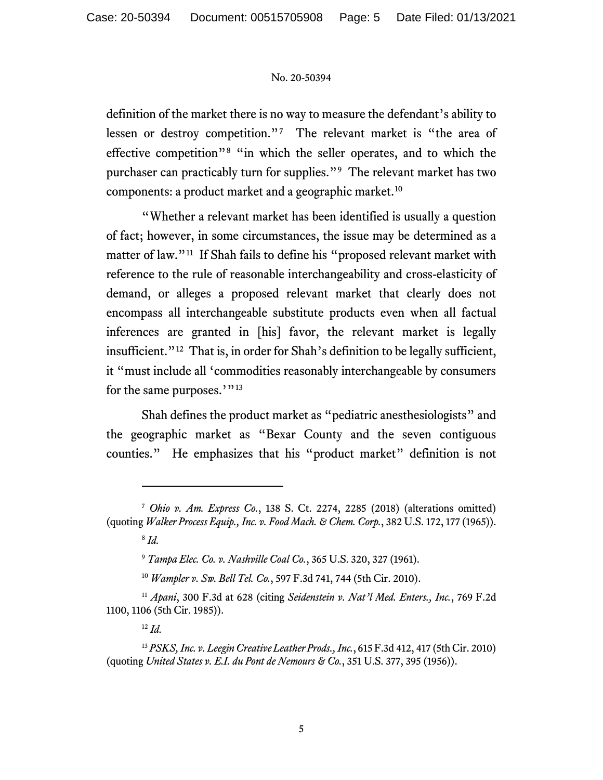definition of the market there is no way to measure the defendant's ability to lessen or destroy competition."<sup>[7](#page-4-0)</sup> The relevant market is "the area of effective competition"[8](#page-4-1) "in which the seller operates, and to which the purchaser can practicably turn for supplies."[9](#page-4-2) The relevant market has two components: a product market and a geographic market.[10](#page-4-3) 

"Whether a relevant market has been identified is usually a question of fact; however, in some circumstances, the issue may be determined as a matter of law."<sup>[11](#page-4-4)</sup> If Shah fails to define his "proposed relevant market with reference to the rule of reasonable interchangeability and cross-elasticity of demand, or alleges a proposed relevant market that clearly does not encompass all interchangeable substitute products even when all factual inferences are granted in [his] favor, the relevant market is legally insufficient."<sup>12</sup> That is, in order for Shah's definition to be legally sufficient, it "must include all 'commodities reasonably interchangeable by consumers for the same purposes.'"<sup>[13](#page-4-6)</sup>

Shah defines the product market as "pediatric anesthesiologists" and the geographic market as "Bexar County and the seven contiguous counties." He emphasizes that his "product market" definition is not

<sup>10</sup> *Wampler v. Sw. Bell Tel. Co.*, 597 F.3d 741, 744 (5th Cir. 2010).

<span id="page-4-1"></span><span id="page-4-0"></span><sup>7</sup> *Ohio v. Am. Express Co.*, 138 S. Ct. 2274, 2285 (2018) (alterations omitted) (quoting *Walker Process Equip., Inc. v. Food Mach. & Chem. Corp.*, 382 U.S. 172, 177 (1965)).

<sup>8</sup> *Id.*

<sup>9</sup> *Tampa Elec. Co. v. Nashville Coal Co.*, 365 U.S. 320, 327 (1961).

<span id="page-4-4"></span><span id="page-4-3"></span><span id="page-4-2"></span><sup>11</sup> *Apani*, 300 F.3d at 628 (citing *Seidenstein v. Nat'l Med. Enters., Inc.*, 769 F.2d 1100, 1106 (5th Cir. 1985)).

<sup>12</sup> *Id.*

<span id="page-4-6"></span><span id="page-4-5"></span><sup>13</sup> *PSKS, Inc. v. Leegin Creative Leather Prods., Inc.*, 615 F.3d 412, 417 (5th Cir. 2010) (quoting *United States v. E.I. du Pont de Nemours & Co.*, 351 U.S. 377, 395 (1956)).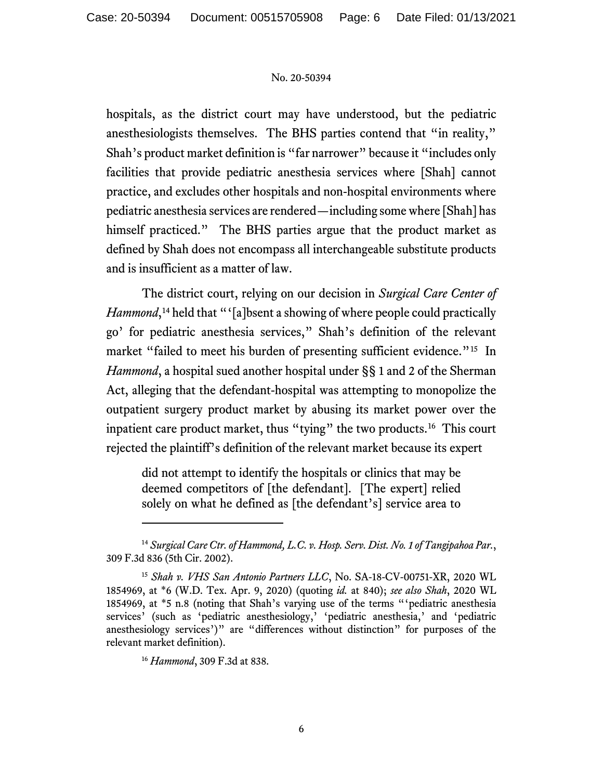hospitals, as the district court may have understood, but the pediatric anesthesiologists themselves. The BHS parties contend that "in reality," Shah's product market definition is "far narrower" because it "includes only facilities that provide pediatric anesthesia services where [Shah] cannot practice, and excludes other hospitals and non-hospital environments where pediatric anesthesia services are rendered—including some where [Shah] has himself practiced." The BHS parties argue that the product market as defined by Shah does not encompass all interchangeable substitute products and is insufficient as a matter of law.

The district court, relying on our decision in *Surgical Care Center of Hammond*,<sup>[14](#page-5-0)</sup> held that "'[a]bsent a showing of where people could practically go' for pediatric anesthesia services," Shah's definition of the relevant market "failed to meet his burden of presenting sufficient evidence."<sup>[15](#page-5-1)</sup> In *Hammond*, a hospital sued another hospital under §§ 1 and 2 of the Sherman Act, alleging that the defendant-hospital was attempting to monopolize the outpatient surgery product market by abusing its market power over the inpatient care product market, thus "tying" the two products.[16](#page-5-2) This court rejected the plaintiff's definition of the relevant market because its expert

did not attempt to identify the hospitals or clinics that may be deemed competitors of [the defendant]. [The expert] relied solely on what he defined as [the defendant's] service area to

<span id="page-5-0"></span><sup>14</sup> *Surgical Care Ctr. of Hammond, L.C. v. Hosp. Serv. Dist. No. 1 of Tangipahoa Par.*, 309 F.3d 836 (5th Cir. 2002).

<span id="page-5-2"></span><span id="page-5-1"></span><sup>15</sup> *Shah v. VHS San Antonio Partners LLC*, No. SA-18-CV-00751-XR, 2020 WL 1854969, at \*6 (W.D. Tex. Apr. 9, 2020) (quoting *id.* at 840); *see also Shah*, 2020 WL 1854969, at \*5 n.8 (noting that Shah's varying use of the terms "'pediatric anesthesia services' (such as 'pediatric anesthesiology,' 'pediatric anesthesia,' and 'pediatric anesthesiology services')" are "differences without distinction" for purposes of the relevant market definition).

<sup>16</sup> *Hammond*, 309 F.3d at 838.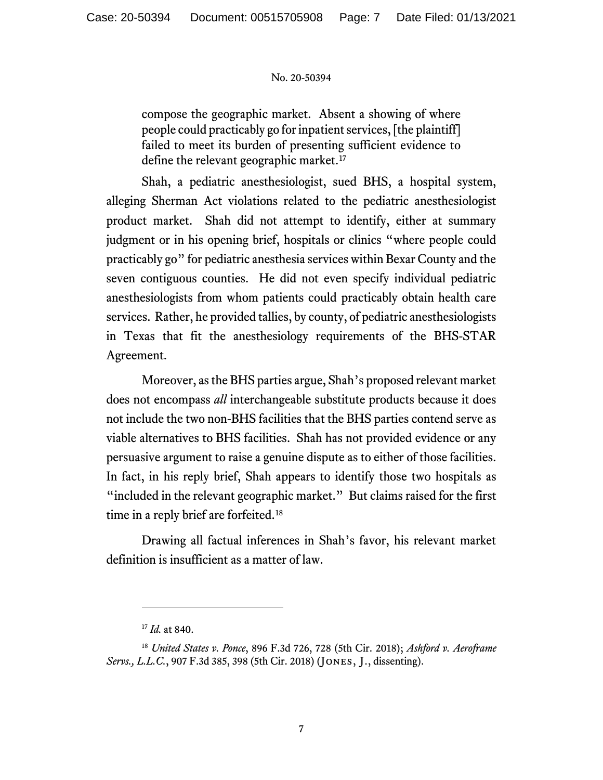compose the geographic market. Absent a showing of where people could practicably go for inpatient services, [the plaintiff] failed to meet its burden of presenting sufficient evidence to define the relevant geographic market.<sup>[17](#page-6-0)</sup>

Shah, a pediatric anesthesiologist, sued BHS, a hospital system, alleging Sherman Act violations related to the pediatric anesthesiologist product market. Shah did not attempt to identify, either at summary judgment or in his opening brief, hospitals or clinics "where people could practicably go" for pediatric anesthesia services within Bexar County and the seven contiguous counties. He did not even specify individual pediatric anesthesiologists from whom patients could practicably obtain health care services. Rather, he provided tallies, by county, of pediatric anesthesiologists in Texas that fit the anesthesiology requirements of the BHS-STAR Agreement.

Moreover, as the BHS parties argue, Shah's proposed relevant market does not encompass *all* interchangeable substitute products because it does not include the two non-BHS facilities that the BHS parties contend serve as viable alternatives to BHS facilities. Shah has not provided evidence or any persuasive argument to raise a genuine dispute as to either of those facilities. In fact, in his reply brief, Shah appears to identify those two hospitals as "included in the relevant geographic market." But claims raised for the first time in a reply brief are forfeited.<sup>[18](#page-6-1)</sup>

Drawing all factual inferences in Shah's favor, his relevant market definition is insufficient as a matter of law.

<sup>17</sup> *Id.* at 840.

<span id="page-6-1"></span><span id="page-6-0"></span><sup>18</sup> *United States v. Ponce*, 896 F.3d 726, 728 (5th Cir. 2018); *Ashford v. Aeroframe Servs., L.L.C.*, 907 F.3d 385, 398 (5th Cir. 2018) (Jones, J., dissenting).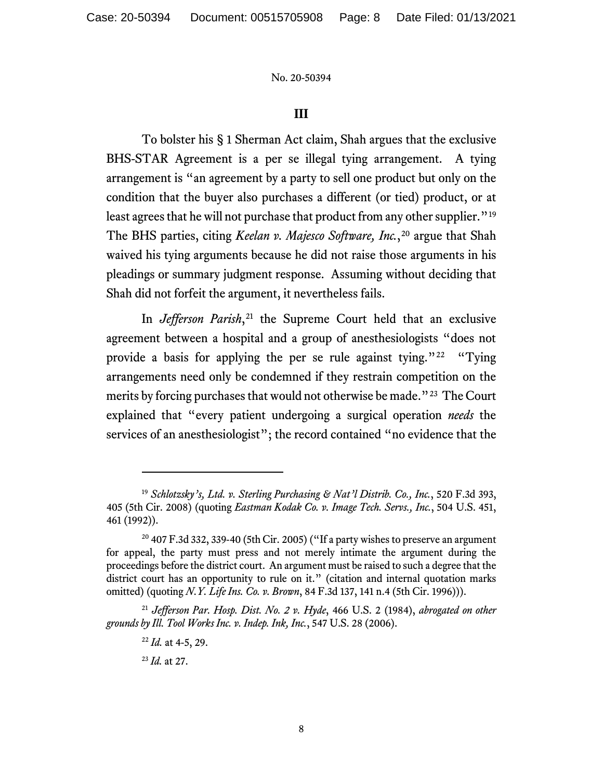### **III**

To bolster his § 1 Sherman Act claim, Shah argues that the exclusive BHS-STAR Agreement is a per se illegal tying arrangement. A tying arrangement is "an agreement by a party to sell one product but only on the condition that the buyer also purchases a different (or tied) product, or at least agrees that he will not purchase that product from any other supplier."<sup>[19](#page-7-0)</sup> The BHS parties, citing *Keelan v. Majesco Software, Inc.*,<sup>[20](#page-7-1)</sup> argue that Shah waived his tying arguments because he did not raise those arguments in his pleadings or summary judgment response. Assuming without deciding that Shah did not forfeit the argument, it nevertheless fails.

In *Jefferson Parish*,<sup>[21](#page-7-2)</sup> the Supreme Court held that an exclusive agreement between a hospital and a group of anesthesiologists "does not provide a basis for applying the per se rule against tying."[22](#page-7-3) "Tying arrangements need only be condemned if they restrain competition on the merits by forcing purchases that would not otherwise be made."<sup>23</sup> The Court explained that "every patient undergoing a surgical operation *needs* the services of an anesthesiologist"; the record contained "no evidence that the

<span id="page-7-0"></span><sup>19</sup> *Schlotzsky's, Ltd. v. Sterling Purchasing & Nat'l Distrib. Co., Inc.*, 520 F.3d 393, 405 (5th Cir. 2008) (quoting *Eastman Kodak Co. v. Image Tech. Servs., Inc.*, 504 U.S. 451, 461 (1992)).

<span id="page-7-1"></span> $20$  407 F.3d 332, 339-40 (5th Cir. 2005) ("If a party wishes to preserve an argument for appeal, the party must press and not merely intimate the argument during the proceedings before the district court. An argument must be raised to such a degree that the district court has an opportunity to rule on it." (citation and internal quotation marks omitted) (quoting *N.Y. Life Ins. Co. v. Brown*, 84 F.3d 137, 141 n.4 (5th Cir. 1996))).

<span id="page-7-4"></span><span id="page-7-3"></span><span id="page-7-2"></span><sup>21</sup> *Jefferson Par. Hosp. Dist. No. 2 v. Hyde*, 466 U.S. 2 (1984), *abrogated on other grounds by Ill. Tool Works Inc. v. Indep. Ink, Inc.*, 547 U.S. 28 (2006).

<sup>22</sup> *Id.* at 4-5, 29.

<sup>23</sup> *Id.* at 27.